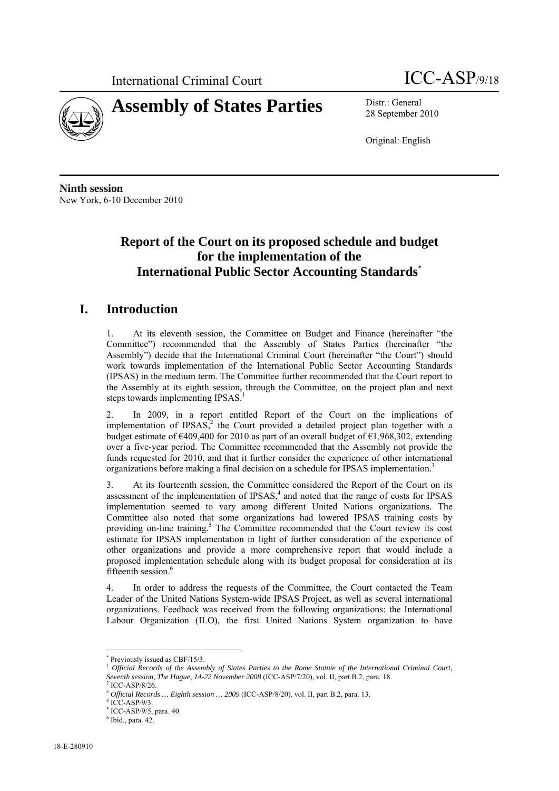



28 September 2010

Original: English

**Ninth session**  New York, 6-10 December 2010

# **Report of the Court on its proposed schedule and budget for the implementation of the International Public Sector Accounting Standards**\*

## **I. Introduction**

1. At its eleventh session, the Committee on Budget and Finance (hereinafter "the Committee") recommended that the Assembly of States Parties (hereinafter "the Assembly") decide that the International Criminal Court (hereinafter "the Court") should work towards implementation of the International Public Sector Accounting Standards (IPSAS) in the medium term. The Committee further recommended that the Court report to the Assembly at its eighth session, through the Committee, on the project plan and next steps towards implementing  $IPSAS<sup>1</sup>$ .

2. In 2009, in a report entitled Report of the Court on the implications of implementation of IPSAS,<sup>2</sup> the Court provided a detailed project plan together with a budget estimate of  $\epsilon$ 409,400 for 2010 as part of an overall budget of  $\epsilon$ 1,968,302, extending over a five-year period. The Committee recommended that the Assembly not provide the funds requested for 2010, and that it further consider the experience of other international organizations before making a final decision on a schedule for IPSAS implementation.<sup>3</sup>

3. At its fourteenth session, the Committee considered the Report of the Court on its assessment of the implementation of  $IPSAS$ ,<sup>4</sup> and noted that the range of costs for  $IPSAS$ implementation seemed to vary among different United Nations organizations. The Committee also noted that some organizations had lowered IPSAS training costs by providing on-line training.<sup>5</sup> The Committee recommended that the Court review its cost estimate for IPSAS implementation in light of further consideration of the experience of other organizations and provide a more comprehensive report that would include a proposed implementation schedule along with its budget proposal for consideration at its fifteenth session.<sup>6</sup>

4. In order to address the requests of the Committee, the Court contacted the Team Leader of the United Nations System-wide IPSAS Project, as well as several international organizations. Feedback was received from the following organizations: the International Labour Organization (ILO), the first United Nations System organization to have

 $\overline{a}$ 

<sup>\*</sup> Previously issued as CBF/15/3.

<sup>1</sup> *Official Records of the Assembly of States Parties to the Rome Statute of the International Criminal Court, Seventh session, The Hague, 14-22 November 2008* (ICC-ASP/7/20), vol. II, part B.2, para. 18. 2, para. 18. 2, para. 18. 2, para. 18. 2, para. 18. 2, para. 18. 2, para. 18. 2, para. 18. 2, para. 18. 2, para. 18. 2, para. 1

ICC-ASP/8/26.

<sup>3</sup> *Official Records … Eighth session … 2009* (ICC-ASP/8/20), vol. II, part B.2, para. 13. 4

 $4$  ICC-ASP/9/3.

<sup>5</sup> ICC-ASP/9/5, para. 40.

 $<sup>6</sup>$  Ibid., para. 42.</sup>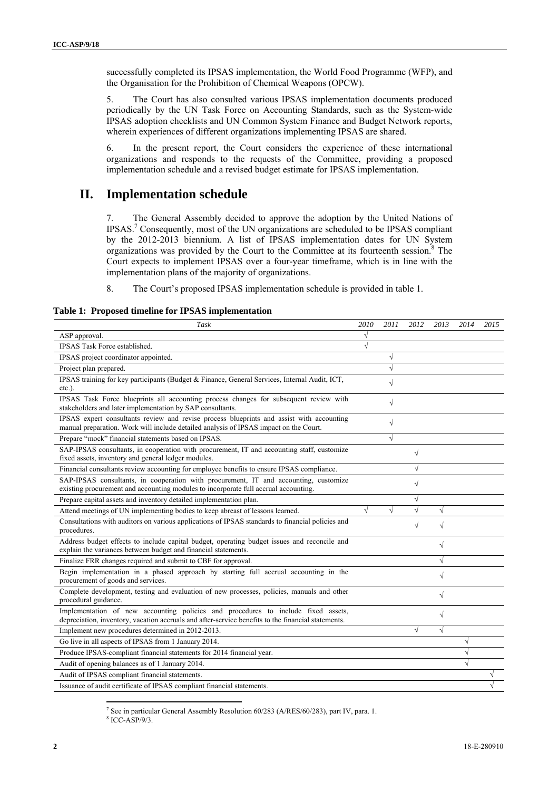successfully completed its IPSAS implementation, the World Food Programme (WFP), and the Organisation for the Prohibition of Chemical Weapons (OPCW).

5. The Court has also consulted various IPSAS implementation documents produced periodically by the UN Task Force on Accounting Standards, such as the System-wide IPSAS adoption checklists and UN Common System Finance and Budget Network reports, wherein experiences of different organizations implementing IPSAS are shared.

6. In the present report, the Court considers the experience of these international organizations and responds to the requests of the Committee, providing a proposed implementation schedule and a revised budget estimate for IPSAS implementation.

#### **II. Implementation schedule**

7. The General Assembly decided to approve the adoption by the United Nations of IPSAS.7 Consequently, most of the UN organizations are scheduled to be IPSAS compliant by the 2012-2013 biennium. A list of IPSAS implementation dates for UN System organizations was provided by the Court to the Committee at its fourteenth session.<sup>8</sup> The Court expects to implement IPSAS over a four-year timeframe, which is in line with the implementation plans of the majority of organizations.

8. The Court's proposed IPSAS implementation schedule is provided in table 1.

**Table 1: Proposed timeline for IPSAS implementation** 

| Task                                                                                                                                                                                    | 2010       | 2011      | 2012      | 2013       | 2014      | 2015 |
|-----------------------------------------------------------------------------------------------------------------------------------------------------------------------------------------|------------|-----------|-----------|------------|-----------|------|
| ASP approval.                                                                                                                                                                           |            |           |           |            |           |      |
| IPSAS Task Force established.                                                                                                                                                           | $\sqrt{}$  |           |           |            |           |      |
| IPSAS project coordinator appointed.                                                                                                                                                    |            | $\sqrt{}$ |           |            |           |      |
| Project plan prepared.                                                                                                                                                                  |            | $\sqrt{}$ |           |            |           |      |
| IPSAS training for key participants (Budget & Finance, General Services, Internal Audit, ICT,<br>$etc.$ ).                                                                              |            | $\sqrt{}$ |           |            |           |      |
| IPSAS Task Force blueprints all accounting process changes for subsequent review with<br>stakeholders and later implementation by SAP consultants.                                      |            | $\sqrt{}$ |           |            |           |      |
| IPSAS expert consultants review and revise process blueprints and assist with accounting<br>manual preparation. Work will include detailed analysis of IPSAS impact on the Court.       |            | $\sqrt{}$ |           |            |           |      |
| Prepare "mock" financial statements based on IPSAS.                                                                                                                                     |            | $\sqrt{}$ |           |            |           |      |
| SAP-IPSAS consultants, in cooperation with procurement, IT and accounting staff, customize<br>fixed assets, inventory and general ledger modules.                                       |            |           | $\sqrt{}$ |            |           |      |
| Financial consultants review accounting for employee benefits to ensure IPSAS compliance.                                                                                               |            |           | $\sqrt{}$ |            |           |      |
| SAP-IPSAS consultants, in cooperation with procurement, IT and accounting, customize<br>existing procurement and accounting modules to incorporate full accrual accounting.             |            |           | $\sqrt{}$ |            |           |      |
| Prepare capital assets and inventory detailed implementation plan.                                                                                                                      |            |           | $\sqrt{}$ |            |           |      |
| Attend meetings of UN implementing bodies to keep abreast of lessons learned.                                                                                                           | $\sqrt{2}$ | $\sqrt{}$ | $\sqrt{}$ | $\sqrt{}$  |           |      |
| Consultations with auditors on various applications of IPSAS standards to financial policies and<br>procedures.                                                                         |            |           | $\sqrt{}$ | $\sqrt{}$  |           |      |
| Address budget effects to include capital budget, operating budget issues and reconcile and<br>explain the variances between budget and financial statements.                           |            |           |           | $\sqrt{}$  |           |      |
| Finalize FRR changes required and submit to CBF for approval.                                                                                                                           |            |           |           | √          |           |      |
| Begin implementation in a phased approach by starting full accrual accounting in the<br>procurement of goods and services.                                                              |            |           |           | $\sqrt{}$  |           |      |
| Complete development, testing and evaluation of new processes, policies, manuals and other<br>procedural guidance.                                                                      |            |           |           | $\sqrt{}$  |           |      |
| Implementation of new accounting policies and procedures to include fixed assets,<br>depreciation, inventory, vacation accruals and after-service benefits to the financial statements. |            |           |           | V          |           |      |
| Implement new procedures determined in 2012-2013.                                                                                                                                       |            |           | $\sqrt{}$ | $\sqrt{ }$ |           |      |
| Go live in all aspects of IPSAS from 1 January 2014.                                                                                                                                    |            |           |           |            | $\sqrt{}$ |      |
| Produce IPSAS-compliant financial statements for 2014 financial year.                                                                                                                   |            |           |           |            | $\sqrt{}$ |      |
| Audit of opening balances as of 1 January 2014.                                                                                                                                         |            |           |           |            | $\sqrt{}$ |      |
| Audit of IPSAS compliant financial statements.                                                                                                                                          |            |           |           |            |           | V    |
| Issuance of audit certificate of IPSAS compliant financial statements.                                                                                                                  |            |           |           |            |           |      |

<sup>7</sup> See in particular General Assembly Resolution  $60/283$  (A/RES/ $60/283$ ), part IV, para. 1.<br><sup>8</sup> ICC ASP/0/2

<sup>8</sup> ICC-ASP/9/3.

 $\overline{a}$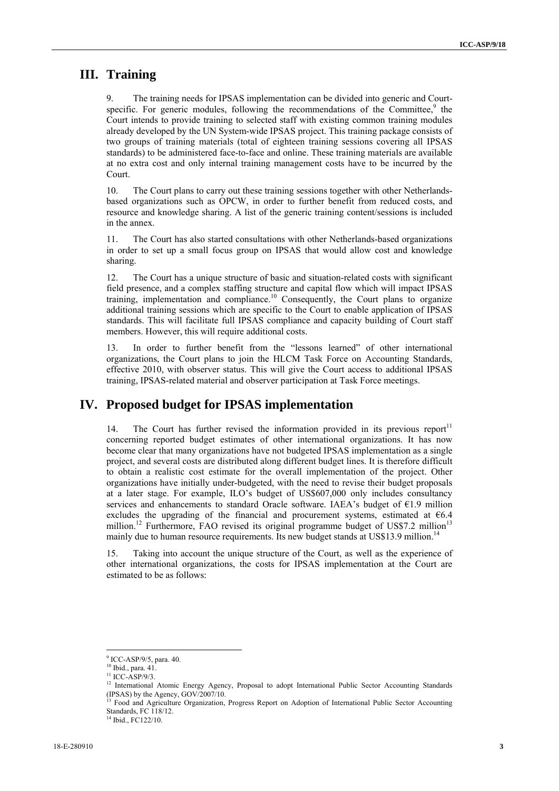#### **III. Training**

The training needs for IPSAS implementation can be divided into generic and Courtspecific. For generic modules, following the recommendations of the Committee,<sup>9</sup> the Court intends to provide training to selected staff with existing common training modules already developed by the UN System-wide IPSAS project. This training package consists of two groups of training materials (total of eighteen training sessions covering all IPSAS standards) to be administered face-to-face and online. These training materials are available at no extra cost and only internal training management costs have to be incurred by the Court.

10. The Court plans to carry out these training sessions together with other Netherlandsbased organizations such as OPCW, in order to further benefit from reduced costs, and resource and knowledge sharing. A list of the generic training content/sessions is included in the annex.

11. The Court has also started consultations with other Netherlands-based organizations in order to set up a small focus group on IPSAS that would allow cost and knowledge sharing.

12. The Court has a unique structure of basic and situation-related costs with significant field presence, and a complex staffing structure and capital flow which will impact IPSAS training, implementation and compliance.<sup>10</sup> Consequently, the Court plans to organize additional training sessions which are specific to the Court to enable application of IPSAS standards. This will facilitate full IPSAS compliance and capacity building of Court staff members. However, this will require additional costs.

13. In order to further benefit from the "lessons learned" of other international organizations, the Court plans to join the HLCM Task Force on Accounting Standards, effective 2010, with observer status. This will give the Court access to additional IPSAS training, IPSAS-related material and observer participation at Task Force meetings.

#### **IV. Proposed budget for IPSAS implementation**

14. The Court has further revised the information provided in its previous report $11$ concerning reported budget estimates of other international organizations. It has now become clear that many organizations have not budgeted IPSAS implementation as a single project, and several costs are distributed along different budget lines. It is therefore difficult to obtain a realistic cost estimate for the overall implementation of the project. Other organizations have initially under-budgeted, with the need to revise their budget proposals at a later stage. For example, ILO's budget of US\$607,000 only includes consultancy services and enhancements to standard Oracle software. IAEA's budget of €1.9 million excludes the upgrading of the financial and procurement systems, estimated at  $66.4$ million.<sup>12</sup> Furthermore, FAO revised its original programme budget of US\$7.2 million<sup>13</sup> mainly due to human resource requirements. Its new budget stands at US\$13.9 million.<sup>14</sup>

15. Taking into account the unique structure of the Court, as well as the experience of other international organizations, the costs for IPSAS implementation at the Court are estimated to be as follows:

<sup>14</sup> Ibid., FC122/10.

<sup>&</sup>lt;sup>9</sup> ICC-ASP/9/5, para. 40.

<sup>&</sup>lt;sup>10</sup> Ibid., para. 41.

<sup>&</sup>lt;sup>11</sup> ICC-ASP/9/3.

<sup>&</sup>lt;sup>12</sup> International Atomic Energy Agency, Proposal to adopt International Public Sector Accounting Standards (IPSAS) by the Agency,  $GOV<sub>2</sub><sup>7</sup>2007/10$ .

<sup>&</sup>lt;sup>13</sup> Food and Agriculture Organization, Progress Report on Adoption of International Public Sector Accounting Standards, FC 118/12.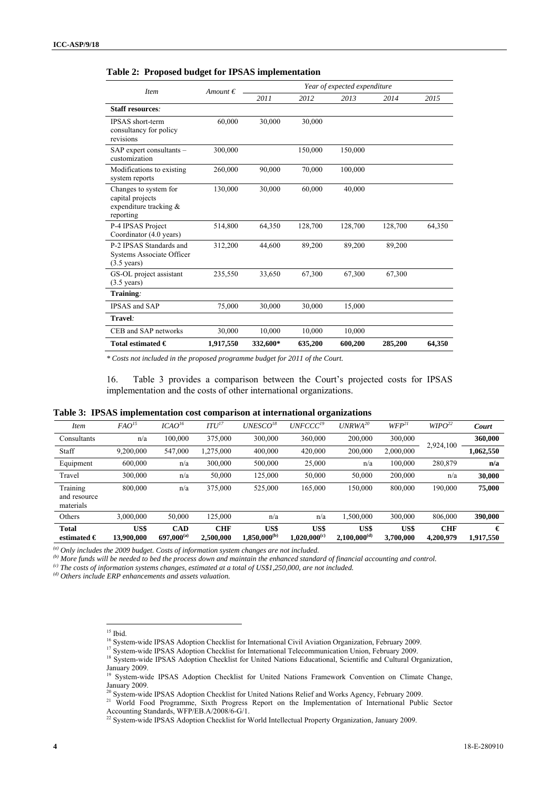| <b>Item</b>                                                                         | Amount $\epsilon$ | Year of expected expenditure |         |         |         |        |  |  |
|-------------------------------------------------------------------------------------|-------------------|------------------------------|---------|---------|---------|--------|--|--|
|                                                                                     |                   | 2011                         | 2012    | 2013    | 2014    | 2015   |  |  |
| <b>Staff resources:</b>                                                             |                   |                              |         |         |         |        |  |  |
| <b>IPSAS</b> short-term<br>consultancy for policy<br>revisions                      | 60,000            | 30,000                       | 30,000  |         |         |        |  |  |
| SAP expert consultants -<br>customization                                           | 300,000           |                              | 150,000 | 150,000 |         |        |  |  |
| Modifications to existing<br>system reports                                         | 260,000           | 90,000                       | 70,000  | 100,000 |         |        |  |  |
| Changes to system for<br>capital projects<br>expenditure tracking $\&$<br>reporting | 130,000           | 30,000                       | 60,000  | 40,000  |         |        |  |  |
| P-4 IPSAS Project<br>Coordinator (4.0 years)                                        | 514,800           | 64,350                       | 128,700 | 128,700 | 128,700 | 64,350 |  |  |
| P-2 IPSAS Standards and<br>Systems Associate Officer<br>$(3.5 \text{ years})$       | 312,200           | 44,600                       | 89,200  | 89,200  | 89,200  |        |  |  |
| GS-OL project assistant<br>$(3.5 \text{ years})$                                    | 235,550           | 33,650                       | 67,300  | 67,300  | 67,300  |        |  |  |
| Training:                                                                           |                   |                              |         |         |         |        |  |  |
| <b>IPSAS</b> and SAP                                                                | 75,000            | 30,000                       | 30,000  | 15,000  |         |        |  |  |
| Travel:                                                                             |                   |                              |         |         |         |        |  |  |
| CEB and SAP networks                                                                | 30,000            | 10,000                       | 10,000  | 10,000  |         |        |  |  |
| Total estimated $\in$                                                               | 1,917,550         | 332,600*                     | 635,200 | 600,200 | 285,200 | 64,350 |  |  |

**Table 2: Proposed budget for IPSAS implementation** 

*\* Costs not included in the proposed programme budget for 2011 of the Court.* 

16. Table 3 provides a comparison between the Court's projected costs for IPSAS implementation and the costs of other international organizations.

|  |  |  | Table 3: IPSAS implementation cost comparison at international organizations |
|--|--|--|------------------------------------------------------------------------------|
|  |  |  |                                                                              |

| <i>Item</i>                           | FAO <sup>15</sup>  | ICAO <sup>16</sup>            | ITU <sup>17</sup>       | $UNESCO^{18}$             | $UNFCCC^{19}$             | $UNRWA^{20}$              | $WFP^{21}$        | $W \Gamma Q^{22}$       | Court          |
|---------------------------------------|--------------------|-------------------------------|-------------------------|---------------------------|---------------------------|---------------------------|-------------------|-------------------------|----------------|
| Consultants                           | n/a                | 100,000                       | 375,000                 | 300,000                   | 360,000                   | 200,000                   | 300,000           | 2,924,100               | 360,000        |
| Staff                                 | 9,200,000          | 547,000                       | 1,275,000               | 400,000                   | 420,000                   | 200,000                   | 2,000,000         |                         | 1,062,550      |
| Equipment                             | 600,000            | n/a                           | 300,000                 | 500,000                   | 25,000                    | n/a                       | 100,000           | 280,879                 | n/a            |
| Travel                                | 300,000            | n/a                           | 50,000                  | 125,000                   | 50,000                    | 50,000                    | 200,000           | n/a                     | 30,000         |
| Training<br>and resource<br>materials | 800,000            | n/a                           | 375,000                 | 525,000                   | 165,000                   | 150,000                   | 800,000           | 190,000                 | 75,000         |
| Others                                | 3,000,000          | 50,000                        | 125,000                 | n/a                       | n/a                       | 1,500,000                 | 300,000           | 806,000                 | 390,000        |
| <b>Total</b><br>estimated $\in$       | US\$<br>13,900,000 | <b>CAD</b><br>$697,000^{(a)}$ | <b>CHF</b><br>2,500,000 | US\$<br>$1,850,000^{(b)}$ | US\$<br>$1,020,000^{(c)}$ | US\$<br>$2,100,000^{(d)}$ | US\$<br>3,700,000 | <b>CHF</b><br>4.200.979 | €<br>1,917,550 |

(a) Only includes the 2009 budget. Costs of information system changes are not included.<br>(b) More funds will be needed to bed the process down and maintain the enhanced standard of financial accounting and control.<br>(c) Th

 $\overline{a}$ 

 $15$  Ibid.

<sup>&</sup>lt;sup>16</sup> System-wide IPSAS Adoption Checklist for International Civil Aviation Organization, February 2009.<br><sup>17</sup> System-wide IPSAS Adoption Checklist for International Telecommunication Union, February 2009.<br><sup>18</sup> System-wide I January 2009.

<sup>&</sup>lt;sup>19</sup> System-wide IPSAS Adoption Checklist for United Nations Framework Convention on Climate Change, January 2009.<br><sup>20</sup> System-wide IPSAS Adoption Checklist for United Nations Relief and Works Agency, February 2009.

<sup>&</sup>lt;sup>21</sup> World Food Programme, Sixth Progress Report on the Implementation of International Public Sector Accounting Standards, WFP/EB.A/2008/6-G/1.

 $22$  System-wide IPSAS Adoption Checklist for World Intellectual Property Organization, January 2009.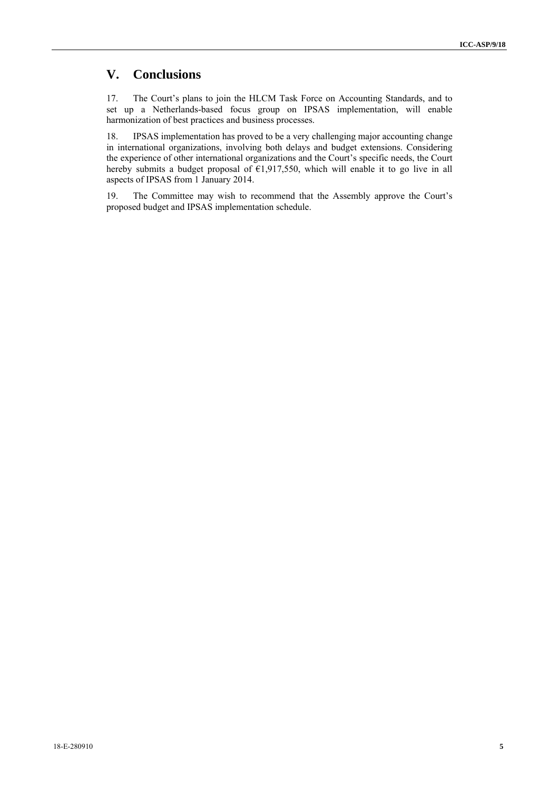## **V. Conclusions**

17. The Court's plans to join the HLCM Task Force on Accounting Standards, and to set up a Netherlands-based focus group on IPSAS implementation, will enable harmonization of best practices and business processes.

18. IPSAS implementation has proved to be a very challenging major accounting change in international organizations, involving both delays and budget extensions. Considering the experience of other international organizations and the Court's specific needs, the Court hereby submits a budget proposal of  $E1,917,550$ , which will enable it to go live in all aspects of IPSAS from 1 January 2014.

19. The Committee may wish to recommend that the Assembly approve the Court's proposed budget and IPSAS implementation schedule.